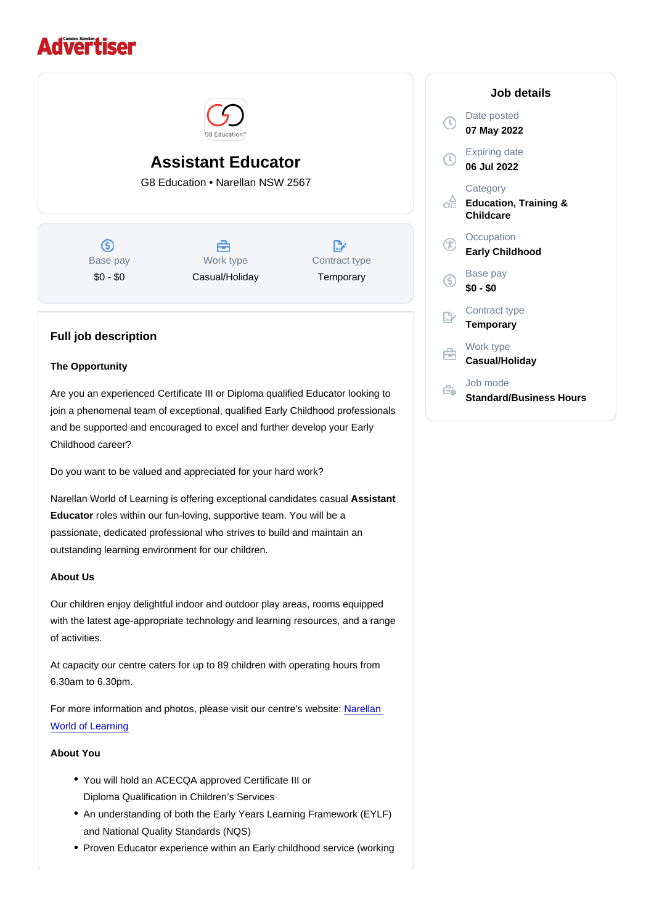# Assistant Educator

G8 Education • Narellan NSW 2567

Base pay \$0 - \$0

Work type Casual/Holiday Contract type **Temporary** 

## Full job description

#### The Opportunity

Are you an experienced Certificate III or Diploma qualified Educator looking to join a phenomenal team of exceptional, qualified Early Childhood professionals and be supported and encouraged to excel and further develop your Early Childhood career?

Do you want to be valued and appreciated for your hard work?

Narellan World of Learning is offering exceptional candidates casual Assistant Educator roles within our fun-loving, supportive team. You will be a passionate, dedicated professional who strives to build and maintain an outstanding learning environment for our children.

## About Us

Our children enjoy delightful indoor and outdoor play areas, rooms equipped with the latest age-appropriate technology and learning resources, and a range of activities.

At capacity our centre caters for up to 89 children with operating hours from 6.30am to 6.30pm.

For more information and photos, please visit our centre's website: [Narellan](https://www.worldoflearning.com.au/find-childcare-near-you/childcare-narellan)  [World of Learning](https://www.worldoflearning.com.au/find-childcare-near-you/childcare-narellan)

## About You

- You will hold an ACECQA approved Certificate III or Diploma Qualification in Children's Services
- An understanding of both the Early Years Learning Framework (EYLF) and National Quality Standards (NQS)
- Proven Educator experience within an Early childhood service (working

#### Job details

Date posted 07 May 2022

Expiring date 06 Jul 2022

**Category** Education, Training & **Childcare** 

**Occupation** Early Childhood

Base pay \$0 - \$0

Contract type **Temporary** 

Work type Casual/Holiday

Job mode Standard/Business Hours